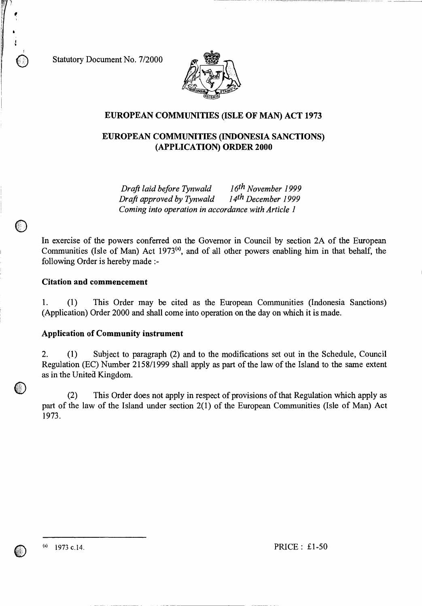Statutory Document No. 7/2000



# **EUROPEAN COMMUNITIES (ISLE OF MAN) ACT 1973**

# **EUROPEAN COMMUNITIES (INDONESIA SANCTIONS) (APPLICATION) ORDER 2000**

*Draft laid before Tynwald 16th November 1999 Draft approved by Tynwald Coming into operation in accordance with Article 1* 

In exercise of the powers conferred on the Governor in Council by section 2A of the European Communities (Isle of Man) Act 1973<sup>(a)</sup>, and of all other powers enabling him in that behalf, the following Order is hereby made :-

### **Citation and commencement**

1. (1) This Order may be cited as the European Communities (Indonesia Sanctions) (Application) Order 2000 and shall come into operation on the day on which it is made.

### **Application of Community instrument**

2. (1) Subject to paragraph (2) and to the modifications set out in the Schedule, Council Regulation (EC) Number 2158/1999 shall apply as part of the law of the Island to the same extent as in the United Kingdom.

(2) This Order does not apply in respect of provisions of that Regulation which apply as part of the law of the Island under section 2(1) of the European Communities (Isle of Man) Act 1973.



 $\bigcirc$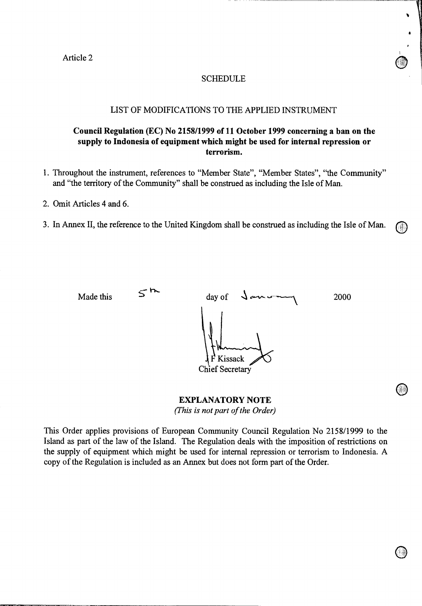Article 2

## **SCHEDULE**

### LIST OF MODIFICATIONS TO THE APPLIED INSTRUMENT

# **Council Regulation (EC) No 2158/1999 of 11 October 1999 concerning a ban on the supply to Indonesia of equipment which might be used for internal repression or terrorism.**

- 1. Throughout the instrument, references to "Member State", "Member States", "the Community" and "the territory of the Community" shall be construed as including the Isle of Man.
- 2. Omit Articles 4 and 6.
- 3. In Annex II, the reference to the United Kingdom shall be construed as including the Isle of Man. (1)

Made this  $5^{12}$  day of  $\sqrt{a}$  and  $a$  2000 Kissack Chief Secretary

> **EXPLANATORY NOTE**  *(This is not part of the Order)*

This Order applies provisions of European Community Council Regulation No 2158/1999 to the Island as part of the law of the Island. The Regulation deals with the imposition of restrictions on the supply of equipment which might be used for internal repression or terrorism to Indonesia. A copy of the Regulation is included as an Annex but does not form part of the Order.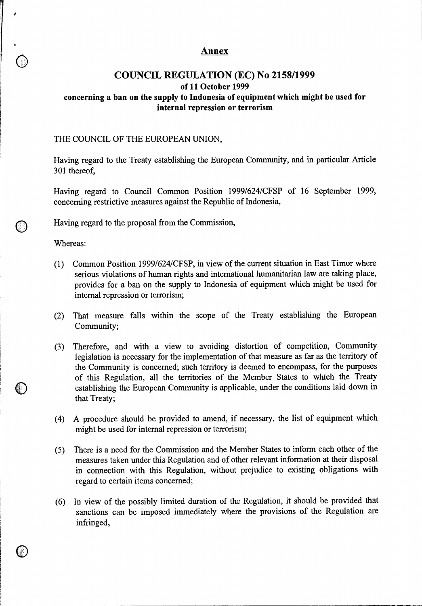# **Annex**

# **COUNCIL REGULATION (EC) No 2158/1999 of 11 October 1999 concerning a ban on the supply to Indonesia of equipment which might be used for internal repression or terrorism**

## THE COUNCIL OF THE EUROPEAN UNION,

Having regard to the Treaty establishing the European Community, and in particular Article 301 thereof,

Having regard to Council Common Position 1999/624/CFSP of 16 September 1999, concerning restrictive measures against the Republic of Indonesia,

Having regard to the proposal from the Commission,

Whereas:

 $\mathbf{r}$ 

- (1) Common Position 1999/624/CFSP, in view of the current situation in East Timor where serious violations of human rights and international humanitarian law are taking place, provides for a ban on the supply to Indonesia of equipment which might be used for internal repression or terrorism;
- (2) That measure falls within the scope of the Treaty establishing the European Community;
- (3) Therefore, and with a view to avoiding distortion of competition, Community legislation is necessary for the implementation of that measure as far as the territory of the Community is concerned; such territory is deemed to encompass, for the purposes of this Regulation, all the territories of the Member States to which the Treaty establishing the European Community is applicable, under the conditions laid down in that Treaty;
- (4) A procedure should be provided to amend, if necessary, the list of equipment which might be used for internal repression or terrorism;
- (5) There is a need for the Commission and the Member States to inform each other of the measures taken under this Regulation and of other relevant information at their disposal in connection with this Regulation, without prejudice to existing obligations with regard to certain items concerned;
- (6) In view of the possibly limited duration of the Regulation, it should be provided that sanctions can be imposed immediately where the provisions of the Regulation are infringed,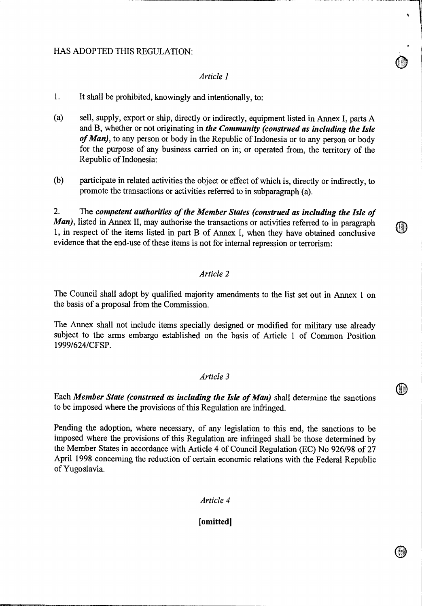# HAS ADOPTED THIS REGULATION:

# *Article 1*

- 1. It shall be prohibited, knowingly and intentionally, to:
- (a) sell, supply, export or ship, directly or indirectly, equipment listed in Annex I, parts A and B, whether or not originating in *the Community (construed as including the Isle of Man),* to any person or body in the Republic of Indonesia or to any person or body for the purpose of any business carried on in; or operated from, the territory of the Republic of Indonesia:
- (b) participate in related activities the object or effect of which is, directly or indirectly, to promote the transactions or activities referred to in subparagraph (a).

2. The *competent authorities of the Member States (construed as including the Isle of Man*), listed in Annex II, may authorise the transactions or activities referred to in paragraph 1, in respect of the items listed in part B of Annex I, when they have obtained conclusive evidence that the end-use of these items is not for internal repression or terrorism:

## *Article 2*

The Council shall adopt by qualified majority amendments to the list set out in Annex 1 on the basis of a proposal from the Commission.

The Annex shall not include items specially designed or modified for military use already subject to the arms embargo established on the basis of Article 1 of Common Position 1999/624/CFSP.

# *Article 3*

Each *Member State (construed as including the Isle of Man)* shall determine the sanctions to be imposed where the provisions of this Regulation are infringed.

Pending the adoption, where necessary, of any legislation to this end, the sanctions to be imposed where the provisions of this Regulation are infringed shall be those determined by the Member States in accordance with Article 4 of Council Regulation (EC) No 926/98 of 27 April 1998 concerning the reduction of certain economic relations with the Federal Republic of Yugoslavia.

*Article 4* 

### **[omitted]**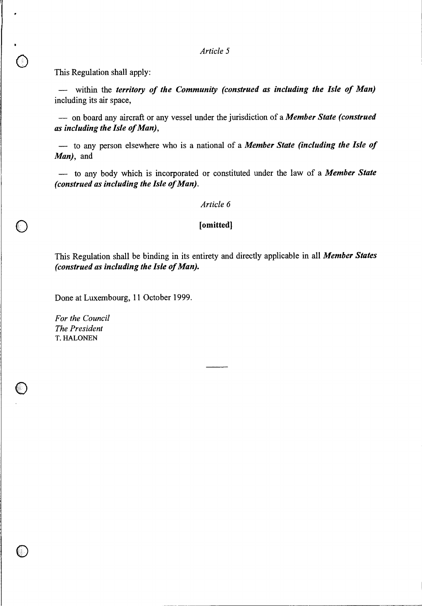*Article 5* 

This Regulation shall apply:

— within the *territory of the Community (construed as including the Isle of Man)*  including its air space,

— on board any aircraft or any vessel under the jurisdiction of a *Member State (construed as including the Isle of Man),* 

— to any person elsewhere who is a national of a *Member State (including the Isle of Man),* and

— to any body which is incorporated or constituted under the law of a *Member State (construed as including the Isle of Man).* 

### *Article 6*

#### **[omitted]**

This Regulation shall be binding in its entirety and directly applicable in all *Member States (construed as including the Isle of Man).* 

Done at Luxembourg, 11 October 1999.

*For the Council The President*  T. HALONEN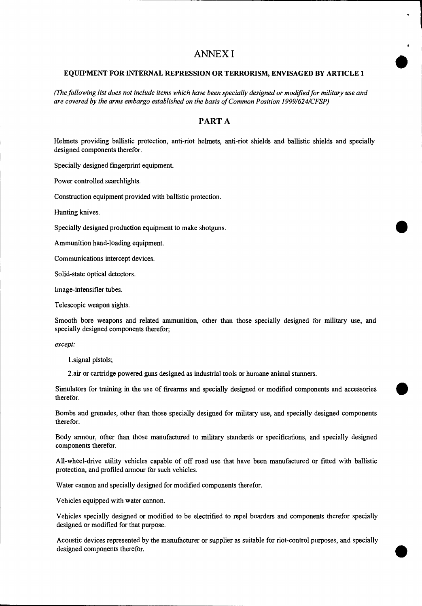# ANNEX I

### **EQUIPMENT FOR INTERNAL REPRESSION OR TERRORISM, ENVISAGED BY ARTICLE 1**

*(The following list does not include items which have been specially designed or modified for military use and are covered by the arms embargo established on the basis of Common Position 1999/624/CFSP)* 

# **PART A**

Helmets providing ballistic protection, anti-riot helmets, anti-riot shields and ballistic shields and specially designed components therefor.

Specially designed fingerprint equipment.

Power controlled searchlights.

Construction equipment provided with ballistic protection.

Hunting knives.

Specially designed production equipment to make shotguns.

Ammunition hand-loading equipment.

Communications intercept devices.

Solid-state optical detectors.

Image-intensifier tubes.

Telescopic weapon sights.

Smooth bore weapons and related ammunition, other than those specially designed for military use, and specially designed components therefor;

*except:* 

l.signal pistols;

2.air or cartridge powered guns designed as industrial tools or humane animal stunners.

Simulators for training in the use of firearms and specially designed or modified components and accessories therefor.

Bombs and grenades, other than those specially designed for military use, and specially designed components therefor.

Body armour, other than those manufactured to military standards or specifications, and specially designed components therefor.

All-wheel-drive utility vehicles capable of off road use that have been manufactured or fitted with ballistic protection, and profiled armour for such vehicles.

Water cannon and specially designed for modified components therefor.

Vehicles equipped with water cannon.

Vehicles specially designed or modified to be electrified to repel boarders and components therefor specially designed or modified for that purpose.

Acoustic devices represented by the manufacturer or supplier as suitable for riot-control purposes, and specially Acoustic devices represented by the manufacturer or supplier as suitable for riot-control purposes, and specially designed components therefor.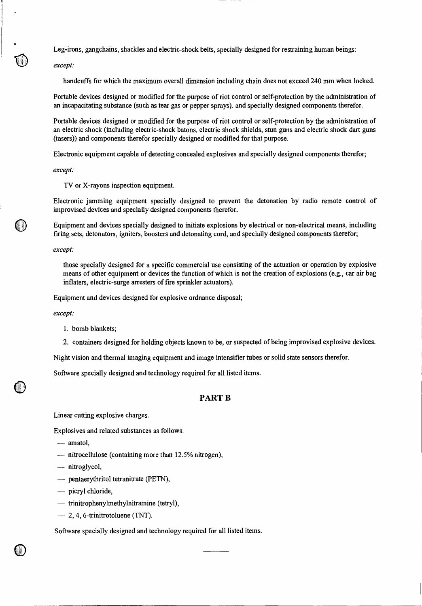Leg-irons, gangchains, shackles and electric-shock belts, specially designed for restraining human beings:

*except:* 

handcuffs for which the maximum overall dimension including chain does not exceed 240 mm when locked.

Portable devices designed or modified for the purpose of riot control or self-protection by the administration of an incapacitating substance (such as tear gas or pepper sprays). and specially designed components therefor.

Portable devices designed or modified for the purpose of riot control or self-protection by the administration of an electric shock (including electric-shock batons, electric shock shields, stun guns and electric shock dart guns (tasers)) and components therefor specially designed or modified for that purpose.

Electronic equipment capable of detecting concealed explosives and specially designed components therefor;

*except:* 

TV or X-rayons inspection equipment.

Electronic jamming equipment specially designed to prevent the detonation by radio remote control of improvised devices and specially designed components therefor.

Equipment and devices specially designed to initiate explosions by electrical or non-electrical means, including firing sets, detonators, igniters, boosters and detonating cord, and specially designed components therefor;

*except:* 

those specially designed for a specific commercial use consisting of the actuation or operation by explosive means of other equipment or devices the function of which is not the creation of explosions (e.g., car air bag inflaters, electric-surge arresters of fire sprinkler actuators).

Equipment and devices designed for explosive ordnance disposal;

*except:* 

- 1. bomb blankets;
- 2. containers designed for holding objects known to be, or suspected of being improvised explosive devices.

Night vision and thermal imaging equipment and image intensifier tubes or solid state sensors therefor.

Software specially designed and technology required for all listed items.

#### **PART B**

Linear cutting explosive charges.

Explosives and related substances as follows:

- amatol,
- nitrocellulose (containing more than 12.5% nitrogen),
- nitroglycol,
- pentaerythritol tetranitrate (PETN),
- picryl chloride,
- trinitrophenylmethylnitramine (tetryl),
- 2, 4, 6-trinitrotoluene (TNT).

Software specially designed and technology required for all listed items.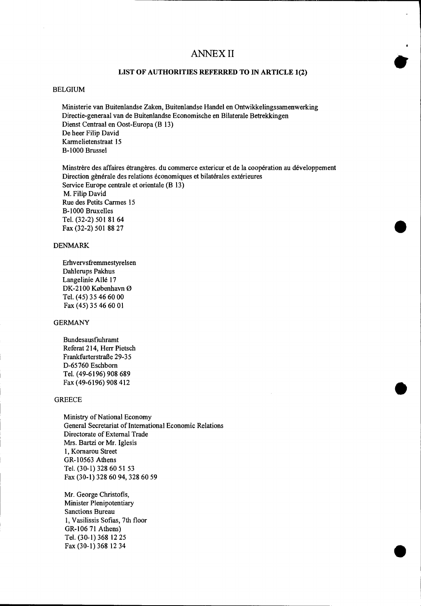# ANNEX II

#### **LIST OF AUTHORITIES REFERRED TO IN ARTICLE 1(2)**

#### BELGIUM

Ministerie van Buitenlandse Zaken, Buitenlandse Handel en Ontwikkelingssamenwerking Directie-generaal van de Buitenlandse Economische en Bilaterale Betrekkingen Dienst Centraal en Oost-Europa (B 13) De heer Filip David Karmelietenstraat 15 B-1000 Brussel

Minstrere des affaires etrangeres. du commerce extericur et de la cooperation au developpement Direction gènérale des relations économiques et bilatérales extérieures Service Europe centrale et orientale (B 13) M. Filip David Rue des Petits Carmes 15 B-1000 Bruxelles Tel. (32-2) 501 81 64 Fax (32-2) 501 88 27

#### DENMARK

Erhvervsfremmestyrelsen Dahlerups Pakhus Langelinie Allé 17 DK-2100 København Ø Tel. (45) 35 46 60 00 Fax (45) 35 46 60 01

#### GERMANY

Bundesausfiuhramt Referat 214, Herr Pietsch Frankfurterstralle 29-35 D-65760 Eschborn Tel. (49-6196) 908 689 Fax (49-6196) 908 412

#### **GREECE**

Ministry of National Economy General Secretariat of International Economic Relations Directorate of External Trade Mrs. Bartzi or Mr. Iglesis 1, Kornarou Street GR-10563 Athens Tel. (30-1) 328 60 51 53 Fax (30-1) 328 60 94, 328 60 59

Mr. George Christofis, Minister Plenipotentiary Sanctions Bureau 1, Vasilissis Sofias, 7th floor GR-106 71 Athens) Tel. (30-1) 368 12 25 **Fax** (30-1) 368 12 34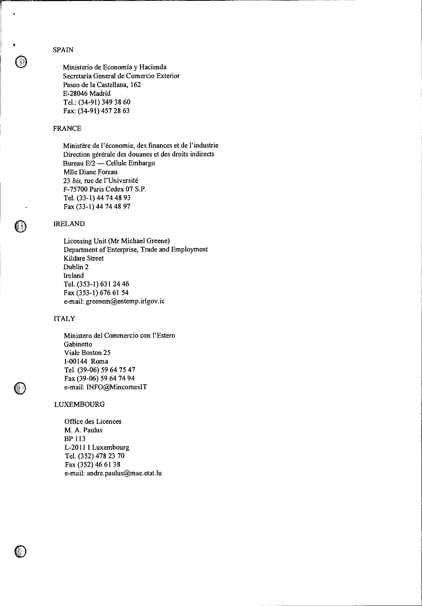SPAIN

Ministerio de Economia y Hacienda Secretaría General de Comercio Exterior Paseo de la Castellana, 162 E-28046 Madrid Tel.: (34-91) 349 38 60 Fax: (34-91) 457 28 63

### FRANCE

Ministère de l'économie, des finances et de l'industrie Direction gérérale des douanes et des droits indirects Bureau E/2 — Cellule Embargo Mlle Diane Foreau 23 *bis,* rue de l'Universite F-75700 Paris Cedex 07 S.P. Tel. (33-1) 44 74 48 93 Fax (33-1) 44 74 48 97

#### IRELAND

Licensing Unit (Mr Michael Greene) Department of Enterprise, Trade and Employment Kildare Street Dublin 2 Ireland Tel. (353-1) 631 24 46 Fax (353-1) 676 61 54 e-mail: greenem@entemp.irlgov.ic

#### ITALY

Ministero del Commercio con l'Estero Gabinetto Viale Boston 25 1-00144 Roma Tel. (39-06) 59 64 75 47 Fax (39-06) 59 64 74 94 e-mail: 1NFO@MincomesIT

#### LUXEMBOURG

Office des Licences M. A. Paulus BP 113 L-2011 I Luxembourg Tel. (352) 478 23 70 Fax (352) 46 61 38 e-mail: andre.paulus@mae.etat.lu

**1 It**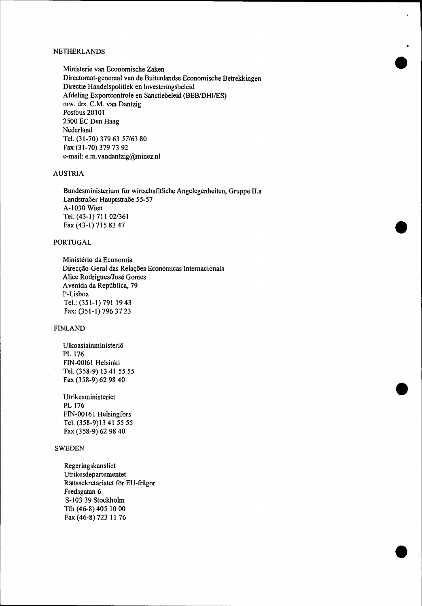#### NETHERLANDS

Ministerie van Economische Zaken Directoraat-generaal van de Buitenlandse Economische Betrekkingen Directie Handelspolitiek en lnvesteringsbeleid Afdeling Exportcontrole en Sanctiebeleid (BEB/DHI/ES) mw. drs. C.M. van Dantzig Postbus 20101 2500 EC Den Haag Nederland Tel. (31-70) 379 63 57/63 80 Fax (31-70) 379 73 92 e-mail: e.m.vandantzig@minez.nl

•

•

•

•

# AUSTRIA

Bundesministerium fur wirtschafltliche Angelegenheiten, Gruppe II.a Landstraßer Hauptstraße 55-57 A-1030 Wien Tel. (43-1) 711 02/361 Fax (43-1) 715 83 47

#### PORTUGAL

Ministério da Economia Direcção-Geral das Relações Económicas Internacionais Alice Rodrigues/Jose Gomes Avenida da República, 79 P-Lisboa Tel.: (351-1) 791 19 43 Fax: (351-1) 796 37 23

#### FINLAND

Ulkoasiainministeriö PL 176 FIN-00161 Helsinki Tel. (358-9) 13 41 55 55 Fax (358-9) 62 98 40

Utrikesministeriet PL 176 FIN-00161 Helsingfors Tel. (358-9)13 41 55 55 Fax (358-9) 62 98 40

### **SWEDEN**

Regeringskansliet Utrikesdepartementet Rattssekretariatet for EU-fragor Fredsgatan 6 S-103 39 Stockholm Tfn (46-8) 405 10 00 Fax (46-8) 723 11 76